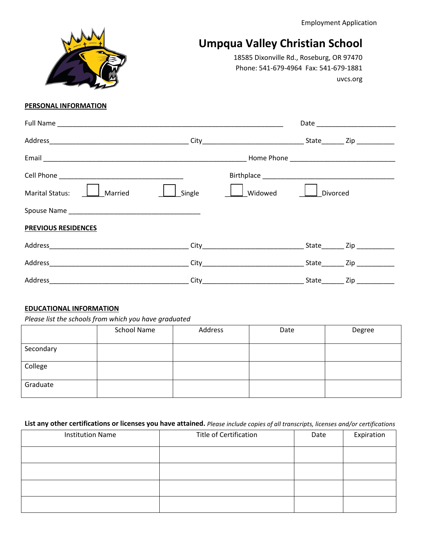Employment Application

# **Umpqua Valley Christian School**

18585 Dixonville Rd., Roseburg, OR 97470 Phone: 541-679-4964 Fax: 541-679-1881 uvcs.org

## **PERSONAL INFORMATION**

| Marital Status:   Married  | Single | Widowed | Divorced |                                   |
|----------------------------|--------|---------|----------|-----------------------------------|
|                            |        |         |          |                                   |
| <b>PREVIOUS RESIDENCES</b> |        |         |          |                                   |
|                            |        |         |          |                                   |
|                            |        |         |          |                                   |
| Address                    |        |         |          | State__________ Zip _____________ |

#### **EDUCATIONAL INFORMATION**

*Please list the schools from which you have graduated*

|           | School Name | Address | Date | Degree |
|-----------|-------------|---------|------|--------|
| Secondary |             |         |      |        |
| College   |             |         |      |        |
| Graduate  |             |         |      |        |

# **List any other certifications or licenses you have attained.** *Please include copies of all transcripts, licenses and/or certifications*

| <b>Institution Name</b> | Title of Certification | Date | Expiration |
|-------------------------|------------------------|------|------------|
|                         |                        |      |            |
|                         |                        |      |            |
|                         |                        |      |            |
|                         |                        |      |            |

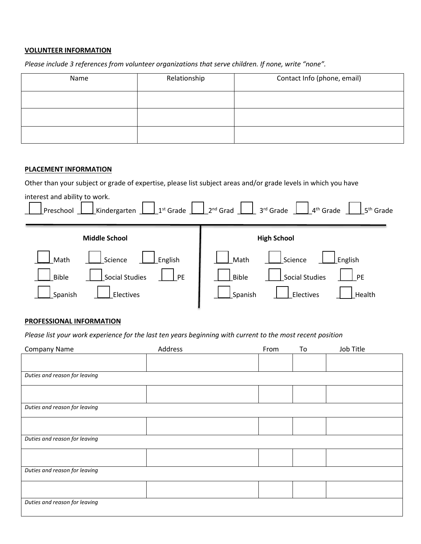## **VOLUNTEER INFORMATION**

*Please include 3 references from volunteer organizations that serve children. If none, write "none".*

| Name | Relationship | Contact Info (phone, email) |
|------|--------------|-----------------------------|
|      |              |                             |
|      |              |                             |
|      |              |                             |

#### **PLACEMENT INFORMATION**

Other than your subject or grade of expertise, please list subject areas and/or grade levels in which you have

| interest and ability to work. | Kindergarten $\boxed{\phantom{a}}$ 1 <sup>st</sup> Grade $\phantom{a}$ 2 <sup>nd</sup> Grad $\phantom{a}$ 3 <sup>rd</sup> Grade $\phantom{a}$ 4 <sup>th</sup> Grade |
|-------------------------------|---------------------------------------------------------------------------------------------------------------------------------------------------------------------|
| Preschool                     | $\frac{1}{2}$ 5 <sup>th</sup> Grade                                                                                                                                 |
| <b>Middle School</b>          | <b>High School</b>                                                                                                                                                  |
| English                       | Science                                                                                                                                                             |
| Science                       | English                                                                                                                                                             |
| Math                          | Math                                                                                                                                                                |
| <b>Social Studies</b>         | Social Studies                                                                                                                                                      |
| <b>Bible</b>                  | <b>Bible</b>                                                                                                                                                        |
| PE                            | <b>PE</b>                                                                                                                                                           |
| Spanish<br>Electives          | Electives<br>Spanish<br>Health                                                                                                                                      |

### **PROFESSIONAL INFORMATION**

*Please list your work experience for the last ten years beginning with current to the most recent position*

| Company Name                  | Address | From | To | Job Title |
|-------------------------------|---------|------|----|-----------|
|                               |         |      |    |           |
|                               |         |      |    |           |
| Duties and reason for leaving |         |      |    |           |
|                               |         |      |    |           |
|                               |         |      |    |           |
| Duties and reason for leaving |         |      |    |           |
|                               |         |      |    |           |
|                               |         |      |    |           |
| Duties and reason for leaving |         |      |    |           |
|                               |         |      |    |           |
|                               |         |      |    |           |
| Duties and reason for leaving |         |      |    |           |
|                               |         |      |    |           |
|                               |         |      |    |           |
| Duties and reason for leaving |         |      |    |           |
|                               |         |      |    |           |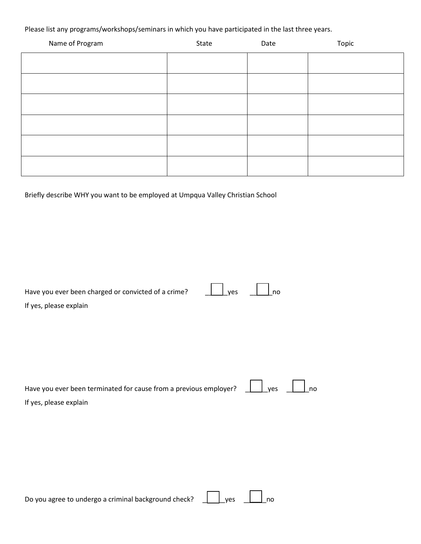Please list any programs/workshops/seminars in which you have participated in the last three years.

| Name of Program | State | Date | Topic |
|-----------------|-------|------|-------|
|                 |       |      |       |
|                 |       |      |       |
|                 |       |      |       |
|                 |       |      |       |
|                 |       |      |       |
|                 |       |      |       |

Briefly describe WHY you want to be employed at Umpqua Valley Christian School

| Have you ever been charged or convicted of a crime?               | yes | no  |    |
|-------------------------------------------------------------------|-----|-----|----|
| If yes, please explain                                            |     |     |    |
|                                                                   |     |     |    |
|                                                                   |     |     |    |
|                                                                   |     |     |    |
|                                                                   |     |     |    |
|                                                                   |     |     |    |
| Have you ever been terminated for cause from a previous employer? |     | yes | no |
| If yes, please explain                                            |     |     |    |
|                                                                   |     |     |    |
|                                                                   |     |     |    |
|                                                                   |     |     |    |
|                                                                   |     |     |    |
|                                                                   |     |     |    |
|                                                                   |     |     |    |

Do you agree to undergo a criminal background check?  $\Box$  yes  $\Box$  no